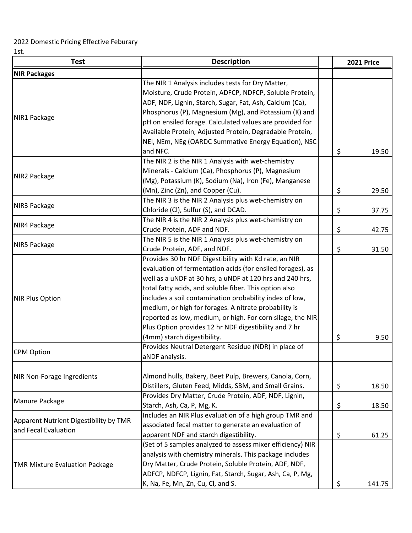## 2022 Domestic Pricing Effective Feburary

1st.

| <b>Test</b>                                                    | <b>Description</b>                                                                                                                                                                                                                                                                                                                                                                                                                                                                   |    | <b>2021 Price</b> |
|----------------------------------------------------------------|--------------------------------------------------------------------------------------------------------------------------------------------------------------------------------------------------------------------------------------------------------------------------------------------------------------------------------------------------------------------------------------------------------------------------------------------------------------------------------------|----|-------------------|
| <b>NIR Packages</b>                                            |                                                                                                                                                                                                                                                                                                                                                                                                                                                                                      |    |                   |
| NIR1 Package                                                   | The NIR 1 Analysis includes tests for Dry Matter,<br>Moisture, Crude Protein, ADFCP, NDFCP, Soluble Protein,<br>ADF, NDF, Lignin, Starch, Sugar, Fat, Ash, Calcium (Ca),<br>Phosphorus (P), Magnesium (Mg), and Potassium (K) and                                                                                                                                                                                                                                                    |    |                   |
|                                                                | pH on ensiled forage. Calculated values are provided for<br>Available Protein, Adjusted Protein, Degradable Protein,<br>NEI, NEm, NEg (OARDC Summative Energy Equation), NSC<br>and NFC.                                                                                                                                                                                                                                                                                             | \$ | 19.50             |
| NIR2 Package                                                   | The NIR 2 is the NIR 1 Analysis with wet-chemistry<br>Minerals - Calcium (Ca), Phosphorus (P), Magnesium<br>(Mg), Potassium (K), Sodium (Na), Iron (Fe), Manganese                                                                                                                                                                                                                                                                                                                   |    |                   |
|                                                                | (Mn), Zinc (Zn), and Copper (Cu).                                                                                                                                                                                                                                                                                                                                                                                                                                                    | \$ | 29.50             |
| NIR3 Package                                                   | The NIR 3 is the NIR 2 Analysis plus wet-chemistry on<br>Chloride (Cl), Sulfur (S), and DCAD.                                                                                                                                                                                                                                                                                                                                                                                        | \$ | 37.75             |
| NIR4 Package                                                   | The NIR 4 is the NIR 2 Analysis plus wet-chemistry on<br>Crude Protein, ADF and NDF.                                                                                                                                                                                                                                                                                                                                                                                                 | \$ | 42.75             |
| NIR5 Package                                                   | The NIR 5 is the NIR 1 Analysis plus wet-chemistry on<br>Crude Protein, ADF, and NDF.                                                                                                                                                                                                                                                                                                                                                                                                | \$ | 31.50             |
| <b>NIR Plus Option</b>                                         | Provides 30 hr NDF Digestibility with Kd rate, an NIR<br>evaluation of fermentation acids (for ensiled forages), as<br>well as a uNDF at 30 hrs, a uNDF at 120 hrs and 240 hrs,<br>total fatty acids, and soluble fiber. This option also<br>includes a soil contamination probability index of low,<br>medium, or high for forages. A nitrate probability is<br>reported as low, medium, or high. For corn silage, the NIR<br>Plus Option provides 12 hr NDF digestibility and 7 hr |    |                   |
| <b>CPM Option</b>                                              | (4mm) starch digestibility.<br>Provides Neutral Detergent Residue (NDR) in place of<br>aNDF analysis.                                                                                                                                                                                                                                                                                                                                                                                | \$ | 9.50              |
| NIR Non-Forage Ingredients                                     | Almond hulls, Bakery, Beet Pulp, Brewers, Canola, Corn,<br>Distillers, Gluten Feed, Midds, SBM, and Small Grains.                                                                                                                                                                                                                                                                                                                                                                    | \$ | 18.50             |
| Manure Package                                                 | Provides Dry Matter, Crude Protein, ADF, NDF, Lignin,<br>Starch, Ash, Ca, P, Mg, K.                                                                                                                                                                                                                                                                                                                                                                                                  | \$ | 18.50             |
| Apparent Nutrient Digestibility by TMR<br>and Fecal Evaluation | Includes an NIR Plus evaluation of a high group TMR and<br>associated fecal matter to generate an evaluation of<br>apparent NDF and starch digestibility.                                                                                                                                                                                                                                                                                                                            | \$ | 61.25             |
| <b>TMR Mixture Evaluation Package</b>                          | (Set of 5 samples analyzed to assess mixer efficiency) NIR<br>analysis with chemistry minerals. This package includes<br>Dry Matter, Crude Protein, Soluble Protein, ADF, NDF,<br>ADFCP, NDFCP, Lignin, Fat, Starch, Sugar, Ash, Ca, P, Mg,<br>K, Na, Fe, Mn, Zn, Cu, Cl, and S.                                                                                                                                                                                                     | \$ | 141.75            |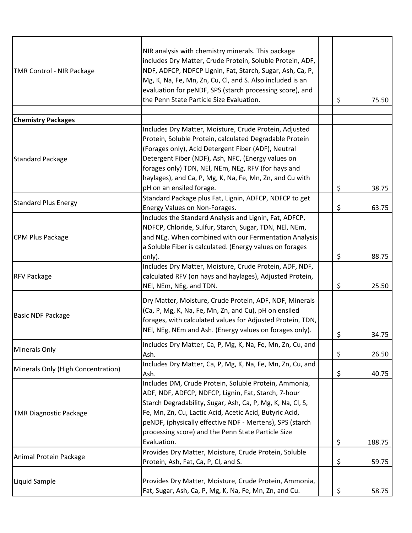| <b>TMR Control - NIR Package</b>   | NIR analysis with chemistry minerals. This package<br>includes Dry Matter, Crude Protein, Soluble Protein, ADF,<br>NDF, ADFCP, NDFCP Lignin, Fat, Starch, Sugar, Ash, Ca, P,<br>Mg, K, Na, Fe, Mn, Zn, Cu, Cl, and S. Also included is an<br>evaluation for peNDF, SPS (starch processing score), and                                                                         |    |        |
|------------------------------------|-------------------------------------------------------------------------------------------------------------------------------------------------------------------------------------------------------------------------------------------------------------------------------------------------------------------------------------------------------------------------------|----|--------|
|                                    | the Penn State Particle Size Evaluation.                                                                                                                                                                                                                                                                                                                                      | \$ | 75.50  |
| <b>Chemistry Packages</b>          |                                                                                                                                                                                                                                                                                                                                                                               |    |        |
| Standard Package                   | Includes Dry Matter, Moisture, Crude Protein, Adjusted<br>Protein, Soluble Protein, calculated Degradable Protein<br>(Forages only), Acid Detergent Fiber (ADF), Neutral<br>Detergent Fiber (NDF), Ash, NFC, (Energy values on<br>forages only) TDN, NEI, NEm, NEg, RFV (for hays and<br>haylages), and Ca, P, Mg, K, Na, Fe, Mn, Zn, and Cu with<br>pH on an ensiled forage. | \$ | 38.75  |
| <b>Standard Plus Energy</b>        | Standard Package plus Fat, Lignin, ADFCP, NDFCP to get<br>Energy Values on Non-Forages.                                                                                                                                                                                                                                                                                       | \$ | 63.75  |
| <b>CPM Plus Package</b>            | Includes the Standard Analysis and Lignin, Fat, ADFCP,<br>NDFCP, Chloride, Sulfur, Starch, Sugar, TDN, NEI, NEm,<br>and NEg. When combined with our Fermentation Analysis<br>a Soluble Fiber is calculated. (Energy values on forages<br>only).                                                                                                                               | \$ | 88.75  |
| <b>RFV Package</b>                 | Includes Dry Matter, Moisture, Crude Protein, ADF, NDF,<br>calculated RFV (on hays and haylages), Adjusted Protein,<br>NEI, NEm, NEg, and TDN.                                                                                                                                                                                                                                | \$ | 25.50  |
| <b>Basic NDF Package</b>           | Dry Matter, Moisture, Crude Protein, ADF, NDF, Minerals<br>(Ca, P, Mg, K, Na, Fe, Mn, Zn, and Cu), pH on ensiled<br>forages, with calculated values for Adjusted Protein, TDN,<br>NEI, NEg, NEm and Ash. (Energy values on forages only).                                                                                                                                     | \$ | 34.75  |
| <b>Minerals Only</b>               | Includes Dry Matter, Ca, P, Mg, K, Na, Fe, Mn, Zn, Cu, and<br>Ash.                                                                                                                                                                                                                                                                                                            | \$ | 26.50  |
| Minerals Only (High Concentration) | Includes Dry Matter, Ca, P, Mg, K, Na, Fe, Mn, Zn, Cu, and<br>Ash.                                                                                                                                                                                                                                                                                                            | \$ | 40.75  |
| <b>TMR Diagnostic Package</b>      | Includes DM, Crude Protein, Soluble Protein, Ammonia,<br>ADF, NDF, ADFCP, NDFCP, Lignin, Fat, Starch, 7-hour<br>Starch Degradability, Sugar, Ash, Ca, P, Mg, K, Na, Cl, S,<br>Fe, Mn, Zn, Cu, Lactic Acid, Acetic Acid, Butyric Acid,<br>peNDF, (physically effective NDF - Mertens), SPS (starch<br>processing score) and the Penn State Particle Size<br>Evaluation.        | \$ | 188.75 |
| Animal Protein Package             | Provides Dry Matter, Moisture, Crude Protein, Soluble<br>Protein, Ash, Fat, Ca, P, Cl, and S.                                                                                                                                                                                                                                                                                 | \$ | 59.75  |
| <b>Liquid Sample</b>               | Provides Dry Matter, Moisture, Crude Protein, Ammonia,<br>Fat, Sugar, Ash, Ca, P, Mg, K, Na, Fe, Mn, Zn, and Cu.                                                                                                                                                                                                                                                              | \$ | 58.75  |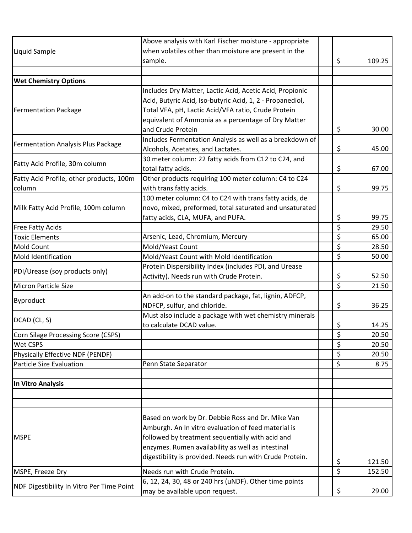|                                           | Above analysis with Karl Fischer moisture - appropriate   |              |
|-------------------------------------------|-----------------------------------------------------------|--------------|
| Liquid Sample                             | when volatiles other than moisture are present in the     |              |
|                                           | sample.                                                   | \$<br>109.25 |
|                                           |                                                           |              |
| <b>Wet Chemistry Options</b>              |                                                           |              |
|                                           | Includes Dry Matter, Lactic Acid, Acetic Acid, Propionic  |              |
|                                           | Acid, Butyric Acid, Iso-butyric Acid, 1, 2 - Propanediol, |              |
| <b>Fermentation Package</b>               | Total VFA, pH, Lactic Acid/VFA ratio, Crude Protein       |              |
|                                           | equivalent of Ammonia as a percentage of Dry Matter       |              |
|                                           | and Crude Protein                                         | \$<br>30.00  |
|                                           | Includes Fermentation Analysis as well as a breakdown of  |              |
| Fermentation Analysis Plus Package        | Alcohols, Acetates, and Lactates.                         | \$<br>45.00  |
|                                           | 30 meter column: 22 fatty acids from C12 to C24, and      |              |
| Fatty Acid Profile, 30m column            | total fatty acids.                                        | \$<br>67.00  |
| Fatty Acid Profile, other products, 100m  | Other products requiring 100 meter column: C4 to C24      |              |
| column                                    | with trans fatty acids.                                   | \$<br>99.75  |
|                                           | 100 meter column: C4 to C24 with trans fatty acids, de    |              |
| Milk Fatty Acid Profile, 100m column      | novo, mixed, preformed, total saturated and unsaturated   |              |
|                                           | fatty acids, CLA, MUFA, and PUFA.                         | \$<br>99.75  |
| <b>Free Fatty Acids</b>                   |                                                           | \$<br>29.50  |
| <b>Toxic Elements</b>                     | Arsenic, Lead, Chromium, Mercury                          | \$<br>65.00  |
| Mold Count                                | Mold/Yeast Count                                          | \$<br>28.50  |
| Mold Identification                       | Mold/Yeast Count with Mold Identification                 | \$<br>50.00  |
|                                           | Protein Dispersibility Index (includes PDI, and Urease    |              |
| PDI/Urease (soy products only)            | Activity). Needs run with Crude Protein.                  | \$<br>52.50  |
| Micron Particle Size                      |                                                           | \$<br>21.50  |
|                                           | An add-on to the standard package, fat, lignin, ADFCP,    |              |
| Byproduct                                 | NDFCP, sulfur, and chloride.                              | \$<br>36.25  |
|                                           | Must also include a package with wet chemistry minerals   |              |
| DCAD (CL, S)                              | to calculate DCAD value.                                  | \$<br>14.25  |
| Corn Silage Processing Score (CSPS)       |                                                           | \$<br>20.50  |
| <b>Wet CSPS</b>                           |                                                           | \$<br>20.50  |
| Physically Effective NDF (PENDF)          |                                                           | \$<br>20.50  |
| <b>Particle Size Evaluation</b>           | Penn State Separator                                      | \$<br>8.75   |
|                                           |                                                           |              |
| <b>In Vitro Analysis</b>                  |                                                           |              |
|                                           |                                                           |              |
|                                           |                                                           |              |
|                                           |                                                           |              |
|                                           | Based on work by Dr. Debbie Ross and Dr. Mike Van         |              |
|                                           | Amburgh. An In vitro evaluation of feed material is       |              |
| <b>MSPE</b>                               | followed by treatment sequentially with acid and          |              |
|                                           | enzymes. Rumen availability as well as intestinal         |              |
|                                           | digestibility is provided. Needs run with Crude Protein.  | \$<br>121.50 |
| MSPE, Freeze Dry                          | Needs run with Crude Protein.                             | \$<br>152.50 |
| NDF Digestibility In Vitro Per Time Point | 6, 12, 24, 30, 48 or 240 hrs (uNDF). Other time points    |              |
|                                           | may be available upon request.                            | \$<br>29.00  |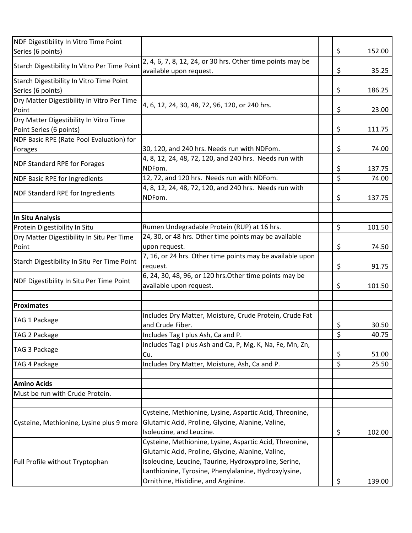| NDF Digestibility In Vitro Time Point           |                                                            |         |        |
|-------------------------------------------------|------------------------------------------------------------|---------|--------|
| Series (6 points)                               |                                                            | \$      | 152.00 |
|                                                 | 2, 4, 6, 7, 8, 12, 24, or 30 hrs. Other time points may be |         |        |
| Starch Digestibility In Vitro Per Time Point    | available upon request.                                    | \$      | 35.25  |
| Starch Digestibility In Vitro Time Point        |                                                            |         |        |
| Series (6 points)                               |                                                            | \$      | 186.25 |
| Dry Matter Digestibility In Vitro Per Time      | 4, 6, 12, 24, 30, 48, 72, 96, 120, or 240 hrs.             |         |        |
| Point                                           |                                                            | \$      | 23.00  |
| Dry Matter Digestibility In Vitro Time          |                                                            |         |        |
| Point Series (6 points)                         |                                                            | \$      | 111.75 |
| NDF Basic RPE (Rate Pool Evaluation) for        |                                                            |         |        |
| Forages                                         | 30, 120, and 240 hrs. Needs run with NDFom.                | \$      | 74.00  |
| <b>NDF Standard RPE for Forages</b>             | 4, 8, 12, 24, 48, 72, 120, and 240 hrs. Needs run with     |         |        |
|                                                 | NDFom.                                                     | \$      | 137.75 |
| <b>NDF Basic RPE for Ingredients</b>            | 12, 72, and 120 hrs. Needs run with NDFom.                 | \$      | 74.00  |
| <b>NDF Standard RPE for Ingredients</b>         | 4, 8, 12, 24, 48, 72, 120, and 240 hrs. Needs run with     |         |        |
|                                                 | NDFom.                                                     | \$      | 137.75 |
|                                                 |                                                            |         |        |
| In Situ Analysis                                |                                                            |         |        |
| Protein Digestibility In Situ                   | Rumen Undegradable Protein (RUP) at 16 hrs.                | \$      | 101.50 |
| Dry Matter Digestibility In Situ Per Time       | 24, 30, or 48 hrs. Other time points may be available      |         |        |
| Point                                           | upon request.                                              | \$      | 74.50  |
| Starch Digestibility In Situ Per Time Point     | 7, 16, or 24 hrs. Other time points may be available upon  |         |        |
|                                                 | request.                                                   | \$      | 91.75  |
| <b>NDF Digestibility In Situ Per Time Point</b> | 6, 24, 30, 48, 96, or 120 hrs. Other time points may be    |         |        |
|                                                 | available upon request.                                    | \$      | 101.50 |
|                                                 |                                                            |         |        |
| <b>Proximates</b>                               |                                                            |         |        |
| TAG 1 Package                                   | Includes Dry Matter, Moisture, Crude Protein, Crude Fat    |         |        |
|                                                 | and Crude Fiber.                                           | \$      | 30.50  |
| TAG 2 Package                                   | Includes Tag I plus Ash, Ca and P.                         | $\zeta$ | 40.75  |
| <b>TAG 3 Package</b>                            | Includes Tag I plus Ash and Ca, P, Mg, K, Na, Fe, Mn, Zn,  |         |        |
|                                                 | Cu.                                                        | \$      | 51.00  |
| TAG 4 Package                                   | Includes Dry Matter, Moisture, Ash, Ca and P.              | \$      | 25.50  |
| <b>Amino Acids</b>                              |                                                            |         |        |
| Must be run with Crude Protein.                 |                                                            |         |        |
|                                                 |                                                            |         |        |
|                                                 | Cysteine, Methionine, Lysine, Aspartic Acid, Threonine,    |         |        |
| Cysteine, Methionine, Lysine plus 9 more        | Glutamic Acid, Proline, Glycine, Alanine, Valine,          |         |        |
|                                                 | Isoleucine, and Leucine.                                   | \$      | 102.00 |
|                                                 | Cysteine, Methionine, Lysine, Aspartic Acid, Threonine,    |         |        |
|                                                 | Glutamic Acid, Proline, Glycine, Alanine, Valine,          |         |        |
| Full Profile without Tryptophan                 | Isoleucine, Leucine, Taurine, Hydroxyproline, Serine,      |         |        |
|                                                 | Lanthionine, Tyrosine, Phenylalanine, Hydroxylysine,       |         |        |
|                                                 | Ornithine, Histidine, and Arginine.                        | \$      | 139.00 |
|                                                 |                                                            |         |        |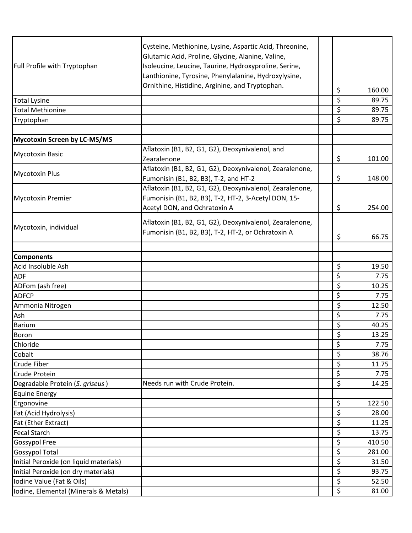| Full Profile with Tryptophan           | Cysteine, Methionine, Lysine, Aspartic Acid, Threonine,<br>Glutamic Acid, Proline, Glycine, Alanine, Valine,<br>Isoleucine, Leucine, Taurine, Hydroxyproline, Serine,<br>Lanthionine, Tyrosine, Phenylalanine, Hydroxylysine,<br>Ornithine, Histidine, Arginine, and Tryptophan. |                                 |        |
|----------------------------------------|----------------------------------------------------------------------------------------------------------------------------------------------------------------------------------------------------------------------------------------------------------------------------------|---------------------------------|--------|
|                                        |                                                                                                                                                                                                                                                                                  | \$                              | 160.00 |
| Total Lysine                           |                                                                                                                                                                                                                                                                                  | \$                              | 89.75  |
| <b>Total Methionine</b>                |                                                                                                                                                                                                                                                                                  | $\overline{\boldsymbol{\zeta}}$ | 89.75  |
| Tryptophan                             |                                                                                                                                                                                                                                                                                  | \$                              | 89.75  |
| Mycotoxin Screen by LC-MS/MS           |                                                                                                                                                                                                                                                                                  |                                 |        |
| <b>Mycotoxin Basic</b>                 | Aflatoxin (B1, B2, G1, G2), Deoxynivalenol, and<br>Zearalenone                                                                                                                                                                                                                   | \$                              | 101.00 |
| <b>Mycotoxin Plus</b>                  | Aflatoxin (B1, B2, G1, G2), Deoxynivalenol, Zearalenone,<br>Fumonisin (B1, B2, B3), T-2, and HT-2                                                                                                                                                                                | \$                              | 148.00 |
| <b>Mycotoxin Premier</b>               | Aflatoxin (B1, B2, G1, G2), Deoxynivalenol, Zearalenone,<br>Fumonisin (B1, B2, B3), T-2, HT-2, 3-Acetyl DON, 15-<br>Acetyl DON, and Ochratoxin A                                                                                                                                 | \$                              | 254.00 |
| Mycotoxin, individual                  | Aflatoxin (B1, B2, G1, G2), Deoxynivalenol, Zearalenone,<br>Fumonisin (B1, B2, B3), T-2, HT-2, or Ochratoxin A                                                                                                                                                                   | \$                              | 66.75  |
| <b>Components</b>                      |                                                                                                                                                                                                                                                                                  |                                 |        |
| Acid Insoluble Ash                     |                                                                                                                                                                                                                                                                                  | \$                              | 19.50  |
| <b>ADF</b>                             |                                                                                                                                                                                                                                                                                  | \$                              | 7.75   |
| ADFom (ash free)                       |                                                                                                                                                                                                                                                                                  | \$                              | 10.25  |
| <b>ADFCP</b>                           |                                                                                                                                                                                                                                                                                  | $\overline{\xi}$                | 7.75   |
| Ammonia Nitrogen                       |                                                                                                                                                                                                                                                                                  | \$                              | 12.50  |
| Ash                                    |                                                                                                                                                                                                                                                                                  | \$                              | 7.75   |
| <b>Barium</b>                          |                                                                                                                                                                                                                                                                                  | \$                              | 40.25  |
| Boron                                  |                                                                                                                                                                                                                                                                                  | \$                              | 13.25  |
| Chloride                               |                                                                                                                                                                                                                                                                                  | \$                              | 7.75   |
| Cobalt                                 |                                                                                                                                                                                                                                                                                  | \$                              | 38.76  |
| <b>Crude Fiber</b>                     |                                                                                                                                                                                                                                                                                  | \$                              | 11.75  |
| Crude Protein                          |                                                                                                                                                                                                                                                                                  | \$                              | 7.75   |
| Degradable Protein (S. griseus)        | Needs run with Crude Protein.                                                                                                                                                                                                                                                    | \$                              | 14.25  |
| Equine Energy                          |                                                                                                                                                                                                                                                                                  |                                 |        |
| Ergonovine                             |                                                                                                                                                                                                                                                                                  | \$                              | 122.50 |
| Fat (Acid Hydrolysis)                  |                                                                                                                                                                                                                                                                                  | $\overline{\boldsymbol{\zeta}}$ | 28.00  |
| Fat (Ether Extract)                    |                                                                                                                                                                                                                                                                                  | \$                              | 11.25  |
| <b>Fecal Starch</b>                    |                                                                                                                                                                                                                                                                                  | \$                              | 13.75  |
| <b>Gossypol Free</b>                   |                                                                                                                                                                                                                                                                                  | \$                              | 410.50 |
| <b>Gossypol Total</b>                  |                                                                                                                                                                                                                                                                                  | \$                              | 281.00 |
| Initial Peroxide (on liquid materials) |                                                                                                                                                                                                                                                                                  | \$                              | 31.50  |
| Initial Peroxide (on dry materials)    |                                                                                                                                                                                                                                                                                  | \$                              | 93.75  |
| Iodine Value (Fat & Oils)              |                                                                                                                                                                                                                                                                                  | \$                              | 52.50  |
| Iodine, Elemental (Minerals & Metals)  |                                                                                                                                                                                                                                                                                  | \$                              | 81.00  |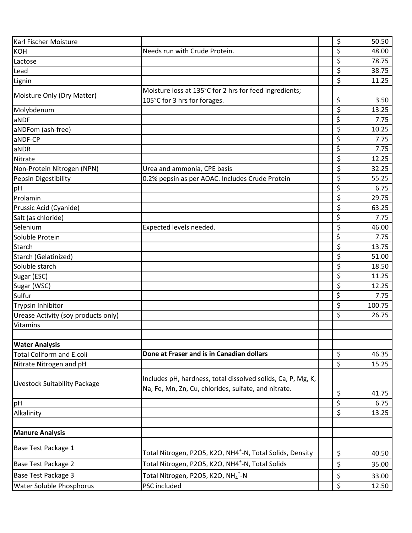| Karl Fischer Moisture               |                                                                       | \$               | 50.50  |
|-------------------------------------|-----------------------------------------------------------------------|------------------|--------|
| <b>KOH</b>                          | Needs run with Crude Protein.                                         | \$               | 48.00  |
| Lactose                             |                                                                       | \$               | 78.75  |
| Lead                                |                                                                       | \$               | 38.75  |
| Lignin                              |                                                                       | \$               | 11.25  |
| Moisture Only (Dry Matter)          | Moisture loss at 135°C for 2 hrs for feed ingredients;                |                  |        |
|                                     | 105°C for 3 hrs for forages.                                          | \$               | 3.50   |
| Molybdenum                          |                                                                       | \$               | 13.25  |
| aNDF                                |                                                                       | \$               | 7.75   |
| aNDFom (ash-free)                   |                                                                       | \$               | 10.25  |
| aNDF-CP                             |                                                                       | \$               | 7.75   |
| aNDR                                |                                                                       | \$               | 7.75   |
| Nitrate                             |                                                                       | \$               | 12.25  |
| Non-Protein Nitrogen (NPN)          | Urea and ammonia, CPE basis                                           | \$               | 32.25  |
| Pepsin Digestibility                | 0.2% pepsin as per AOAC. Includes Crude Protein                       | \$               | 55.25  |
| pH                                  |                                                                       | \$               | 6.75   |
| Prolamin                            |                                                                       | \$               | 29.75  |
| Prussic Acid (Cyanide)              |                                                                       | \$               | 63.25  |
| Salt (as chloride)                  |                                                                       | \$               | 7.75   |
| Selenium                            | Expected levels needed.                                               | \$               | 46.00  |
| Soluble Protein                     |                                                                       | $\overline{\xi}$ | 7.75   |
| <b>Starch</b>                       |                                                                       | \$               | 13.75  |
| Starch (Gelatinized)                |                                                                       | \$               | 51.00  |
| Soluble starch                      |                                                                       | \$               | 18.50  |
| Sugar (ESC)                         |                                                                       | \$               | 11.25  |
| Sugar (WSC)                         |                                                                       | \$               | 12.25  |
| Sulfur                              |                                                                       | \$               | 7.75   |
| <b>Trypsin Inhibitor</b>            |                                                                       | \$               | 100.75 |
| Urease Activity (soy products only) |                                                                       | \$               | 26.75  |
| Vitamins                            |                                                                       |                  |        |
| <b>Water Analysis</b>               |                                                                       |                  |        |
| <b>Total Coliform and E.coli</b>    | Done at Fraser and is in Canadian dollars                             | \$               | 46.35  |
| Nitrate Nitrogen and pH             |                                                                       | \$               | 15.25  |
| Livestock Suitability Package       | Includes pH, hardness, total dissolved solids, Ca, P, Mg, K,          |                  |        |
|                                     | Na, Fe, Mn, Zn, Cu, chlorides, sulfate, and nitrate.                  | \$               | 41.75  |
| <b>pH</b>                           |                                                                       | $\overline{\xi}$ | 6.75   |
| Alkalinity                          |                                                                       | \$               | 13.25  |
| <b>Manure Analysis</b>              |                                                                       |                  |        |
|                                     |                                                                       |                  |        |
| Base Test Package 1                 | Total Nitrogen, P2O5, K2O, NH4 <sup>+</sup> -N, Total Solids, Density | \$               | 40.50  |
| Base Test Package 2                 | Total Nitrogen, P2O5, K2O, NH4 <sup>+</sup> -N, Total Solids          | \$               | 35.00  |
| Base Test Package 3                 | Total Nitrogen, P2O5, K2O, NH <sub>4</sub> <sup>+</sup> -N            | \$               | 33.00  |
| <b>Water Soluble Phosphorus</b>     | PSC included                                                          | \$               | 12.50  |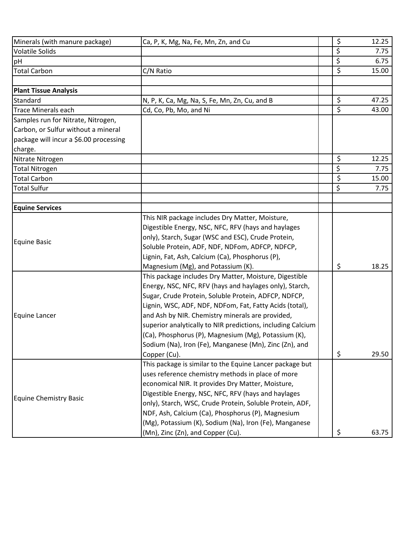| Minerals (with manure package)         | Ca, P, K, Mg, Na, Fe, Mn, Zn, and Cu                        | \$                       | 12.25 |
|----------------------------------------|-------------------------------------------------------------|--------------------------|-------|
| <b>Volatile Solids</b>                 |                                                             | \$                       | 7.75  |
| pH                                     |                                                             | \$                       | 6.75  |
| <b>Total Carbon</b>                    | C/N Ratio                                                   | \$                       | 15.00 |
|                                        |                                                             |                          |       |
| <b>Plant Tissue Analysis</b>           |                                                             |                          |       |
| Standard                               | N, P, K, Ca, Mg, Na, S, Fe, Mn, Zn, Cu, and B               | $\zeta$                  | 47.25 |
| <b>Trace Minerals each</b>             | Cd, Co, Pb, Mo, and Ni                                      | $\overline{\mathcal{S}}$ | 43.00 |
| Samples run for Nitrate, Nitrogen,     |                                                             |                          |       |
| Carbon, or Sulfur without a mineral    |                                                             |                          |       |
| package will incur a \$6.00 processing |                                                             |                          |       |
| charge.                                |                                                             |                          |       |
| Nitrate Nitrogen                       |                                                             | \$                       | 12.25 |
| <b>Total Nitrogen</b>                  |                                                             | \$                       | 7.75  |
| <b>Total Carbon</b>                    |                                                             | \$                       | 15.00 |
| <b>Total Sulfur</b>                    |                                                             | \$                       | 7.75  |
|                                        |                                                             |                          |       |
| <b>Equine Services</b>                 |                                                             |                          |       |
|                                        | This NIR package includes Dry Matter, Moisture,             |                          |       |
|                                        | Digestible Energy, NSC, NFC, RFV (hays and haylages         |                          |       |
|                                        | only), Starch, Sugar (WSC and ESC), Crude Protein,          |                          |       |
| Equine Basic                           | Soluble Protein, ADF, NDF, NDFom, ADFCP, NDFCP,             |                          |       |
|                                        | Lignin, Fat, Ash, Calcium (Ca), Phosphorus (P),             |                          |       |
|                                        | Magnesium (Mg), and Potassium (K).                          | \$                       | 18.25 |
|                                        | This package includes Dry Matter, Moisture, Digestible      |                          |       |
|                                        | Energy, NSC, NFC, RFV (hays and haylages only), Starch,     |                          |       |
|                                        | Sugar, Crude Protein, Soluble Protein, ADFCP, NDFCP,        |                          |       |
|                                        | Lignin, WSC, ADF, NDF, NDFom, Fat, Fatty Acids (total),     |                          |       |
| Equine Lancer                          | and Ash by NIR. Chemistry minerals are provided,            |                          |       |
|                                        | superior analytically to NIR predictions, including Calcium |                          |       |
|                                        | (Ca), Phosphorus (P), Magnesium (Mg), Potassium (K),        |                          |       |
|                                        | Sodium (Na), Iron (Fe), Manganese (Mn), Zinc (Zn), and      |                          |       |
|                                        | Copper (Cu).                                                | \$                       | 29.50 |
|                                        | This package is similar to the Equine Lancer package but    |                          |       |
|                                        | uses reference chemistry methods in place of more           |                          |       |
|                                        | economical NIR. It provides Dry Matter, Moisture,           |                          |       |
|                                        | Digestible Energy, NSC, NFC, RFV (hays and haylages         |                          |       |
| <b>Equine Chemistry Basic</b>          | only), Starch, WSC, Crude Protein, Soluble Protein, ADF,    |                          |       |
|                                        | NDF, Ash, Calcium (Ca), Phosphorus (P), Magnesium           |                          |       |
|                                        | (Mg), Potassium (K), Sodium (Na), Iron (Fe), Manganese      |                          |       |
|                                        | (Mn), Zinc (Zn), and Copper (Cu).                           | \$                       | 63.75 |